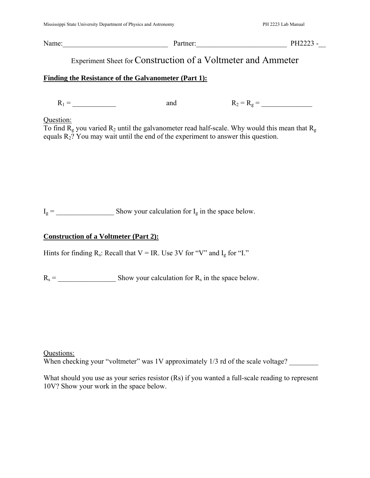Name: Partner: 2004 - Partner: 2004 - PH2223 - 2004 - PH2223 - 2004 - 2014 - PH2223 - 2004 - 2014 - 2016 - 2016 - 2016 - 2016 - 2016 - 2016 - 2016 - 2016 - 2016 - 2016 - 2016 - 2016 - 2016 - 2016 - 2016 - 2016 - 2016 - 201

# Experiment Sheet forConstruction of a Voltmeter and Ammeter

### **Finding the Resistance of the Galvanometer (Part 1):**

R1 = \_\_\_\_\_\_\_\_\_\_\_\_ and R2 = Rg = \_\_\_\_\_\_\_\_\_\_\_\_\_\_

## Question:

To find  $R_g$  you varied  $R_2$  until the galvanometer read half-scale. Why would this mean that  $R_g$ equals  $R_2$ ? You may wait until the end of the experiment to answer this question.

 $I_g =$  Show your calculation for  $I_g$  in the space below.

## **Construction of a Voltmeter (Part 2):**

Hints for finding  $R_s$ : Recall that  $V = IR$ . Use 3V for "V" and  $I_g$  for "I."

 $R_s =$  Show your calculation for  $R_s$  in the space below.

Questions: When checking your "voltmeter" was  $1V$  approximately  $1/3$  rd of the scale voltage?

What should you use as your series resistor (Rs) if you wanted a full-scale reading to represent 10V? Show your work in the space below.